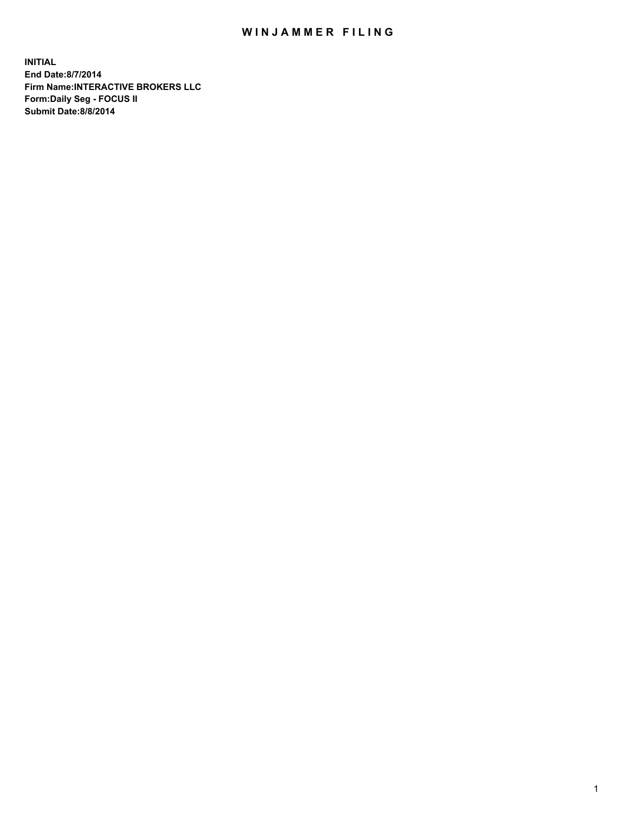## WIN JAMMER FILING

**INITIAL End Date:8/7/2014 Firm Name:INTERACTIVE BROKERS LLC Form:Daily Seg - FOCUS II Submit Date:8/8/2014**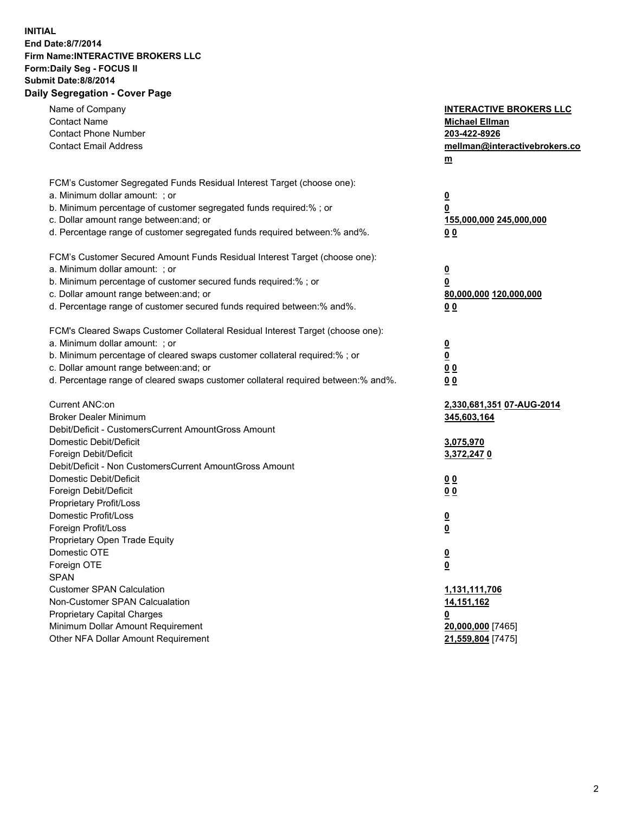## **INITIAL End Date:8/7/2014 Firm Name:INTERACTIVE BROKERS LLC Form:Daily Seg - FOCUS II Submit Date:8/8/2014 Daily Segregation - Cover Page**

| Name of Company<br><b>Contact Name</b><br><b>Contact Phone Number</b>             | <b>INTERACTIVE BROKERS LLC</b><br><b>Michael Ellman</b><br>203-422-8926 |
|-----------------------------------------------------------------------------------|-------------------------------------------------------------------------|
| <b>Contact Email Address</b>                                                      | mellman@interactivebrokers.co<br>$\underline{\mathbf{m}}$               |
| FCM's Customer Segregated Funds Residual Interest Target (choose one):            |                                                                         |
| a. Minimum dollar amount: ; or                                                    | $\overline{\mathbf{0}}$                                                 |
| b. Minimum percentage of customer segregated funds required:% ; or                | 0                                                                       |
| c. Dollar amount range between: and; or                                           | 155,000,000 245,000,000                                                 |
| d. Percentage range of customer segregated funds required between:% and%.         | 00                                                                      |
| FCM's Customer Secured Amount Funds Residual Interest Target (choose one):        |                                                                         |
| a. Minimum dollar amount: ; or                                                    | $\overline{\mathbf{0}}$                                                 |
| b. Minimum percentage of customer secured funds required:% ; or                   | 0                                                                       |
| c. Dollar amount range between: and; or                                           | 80,000,000 120,000,000                                                  |
| d. Percentage range of customer secured funds required between:% and%.            | 00                                                                      |
| FCM's Cleared Swaps Customer Collateral Residual Interest Target (choose one):    |                                                                         |
| a. Minimum dollar amount: ; or                                                    | $\overline{\mathbf{0}}$                                                 |
| b. Minimum percentage of cleared swaps customer collateral required:% ; or        | $\underline{\mathbf{0}}$                                                |
| c. Dollar amount range between: and; or                                           | 0 <sub>0</sub>                                                          |
| d. Percentage range of cleared swaps customer collateral required between:% and%. | 0 <sub>0</sub>                                                          |
| Current ANC:on                                                                    | 2,330,681,351 07-AUG-2014                                               |
| <b>Broker Dealer Minimum</b>                                                      | 345,603,164                                                             |
| Debit/Deficit - CustomersCurrent AmountGross Amount                               |                                                                         |
| Domestic Debit/Deficit                                                            | 3,075,970                                                               |
| Foreign Debit/Deficit                                                             | 3,372,2470                                                              |
| Debit/Deficit - Non CustomersCurrent AmountGross Amount                           |                                                                         |
| Domestic Debit/Deficit                                                            | 0 <sub>0</sub>                                                          |
| Foreign Debit/Deficit                                                             | 0 <sub>0</sub>                                                          |
| Proprietary Profit/Loss                                                           |                                                                         |
| Domestic Profit/Loss                                                              | $\overline{\mathbf{0}}$                                                 |
| Foreign Profit/Loss                                                               | $\underline{\mathbf{0}}$                                                |
| Proprietary Open Trade Equity<br>Domestic OTE                                     |                                                                         |
|                                                                                   | <u>0</u>                                                                |
| Foreign OTE<br><b>SPAN</b>                                                        | <u>0</u>                                                                |
| <b>Customer SPAN Calculation</b>                                                  | 1,131,111,706                                                           |
| Non-Customer SPAN Calcualation                                                    | 14,151,162                                                              |
| <b>Proprietary Capital Charges</b>                                                | 0                                                                       |
| Minimum Dollar Amount Requirement                                                 | 20,000,000 [7465]                                                       |
| Other NFA Dollar Amount Requirement                                               | 21,559,804 [7475]                                                       |
|                                                                                   |                                                                         |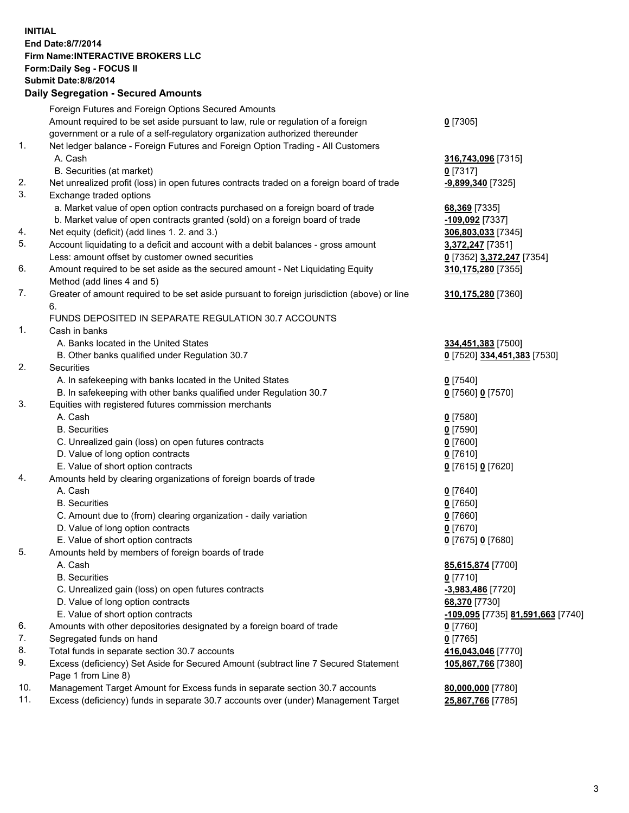## **INITIAL End Date:8/7/2014 Firm Name:INTERACTIVE BROKERS LLC Form:Daily Seg - FOCUS II Submit Date:8/8/2014 Daily Segregation - Secured Amounts**

|     | <u>, pany ovyrvyatron ovodrod Amodrite</u>                                                  |                                   |
|-----|---------------------------------------------------------------------------------------------|-----------------------------------|
|     | Foreign Futures and Foreign Options Secured Amounts                                         |                                   |
|     | Amount required to be set aside pursuant to law, rule or regulation of a foreign            | $0$ [7305]                        |
|     | government or a rule of a self-regulatory organization authorized thereunder                |                                   |
| 1.  | Net ledger balance - Foreign Futures and Foreign Option Trading - All Customers             |                                   |
|     | A. Cash                                                                                     | 316,743,096 [7315]                |
|     | B. Securities (at market)                                                                   | $0$ [7317]                        |
| 2.  | Net unrealized profit (loss) in open futures contracts traded on a foreign board of trade   | -9,899,340 [7325]                 |
| 3.  | Exchange traded options                                                                     |                                   |
|     | a. Market value of open option contracts purchased on a foreign board of trade              | 68,369 [7335]                     |
|     | b. Market value of open contracts granted (sold) on a foreign board of trade                | -109,092 <sup>[7337]</sup>        |
| 4.  | Net equity (deficit) (add lines 1. 2. and 3.)                                               | 306,803,033 [7345]                |
| 5.  | Account liquidating to a deficit and account with a debit balances - gross amount           | 3,372,247 [7351]                  |
|     | Less: amount offset by customer owned securities                                            | 0 [7352] 3,372,247 [7354]         |
| 6.  | Amount required to be set aside as the secured amount - Net Liquidating Equity              | 310,175,280 [7355]                |
|     | Method (add lines 4 and 5)                                                                  |                                   |
| 7.  | Greater of amount required to be set aside pursuant to foreign jurisdiction (above) or line | 310, 175, 280 [7360]              |
|     | 6.                                                                                          |                                   |
|     | FUNDS DEPOSITED IN SEPARATE REGULATION 30.7 ACCOUNTS                                        |                                   |
| 1.  | Cash in banks                                                                               |                                   |
|     | A. Banks located in the United States                                                       | 334,451,383 [7500]                |
|     | B. Other banks qualified under Regulation 30.7                                              | 0 [7520] 334,451,383 [7530]       |
| 2.  | <b>Securities</b>                                                                           |                                   |
|     | A. In safekeeping with banks located in the United States                                   | $0$ [7540]                        |
|     | B. In safekeeping with other banks qualified under Regulation 30.7                          | 0 [7560] 0 [7570]                 |
| 3.  | Equities with registered futures commission merchants                                       |                                   |
|     | A. Cash                                                                                     | $0$ [7580]                        |
|     | <b>B.</b> Securities                                                                        | $0$ [7590]                        |
|     | C. Unrealized gain (loss) on open futures contracts                                         | $0$ [7600]                        |
|     | D. Value of long option contracts                                                           | $0$ [7610]                        |
|     | E. Value of short option contracts                                                          | 0 [7615] 0 [7620]                 |
| 4.  | Amounts held by clearing organizations of foreign boards of trade                           |                                   |
|     | A. Cash                                                                                     | $0$ [7640]                        |
|     | <b>B.</b> Securities                                                                        | $0$ [7650]                        |
|     | C. Amount due to (from) clearing organization - daily variation                             | $0$ [7660]                        |
|     | D. Value of long option contracts                                                           | $0$ [7670]                        |
|     | E. Value of short option contracts                                                          | 0 [7675] 0 [7680]                 |
| 5.  | Amounts held by members of foreign boards of trade                                          |                                   |
|     | A. Cash                                                                                     | 85,615,874 [7700]                 |
|     | <b>B.</b> Securities                                                                        | $0$ [7710]                        |
|     | C. Unrealized gain (loss) on open futures contracts                                         | -3,983,486 [7720]                 |
|     | D. Value of long option contracts                                                           | 68,370 [7730]                     |
|     | E. Value of short option contracts                                                          | -109,095 [7735] 81,591,663 [7740] |
| 6.  | Amounts with other depositories designated by a foreign board of trade                      | $0$ [7760]                        |
| 7.  | Segregated funds on hand                                                                    | $0$ [7765]                        |
| 8.  | Total funds in separate section 30.7 accounts                                               | 416,043,046 [7770]                |
| 9.  | Excess (deficiency) Set Aside for Secured Amount (subtract line 7 Secured Statement         | 105,867,766 [7380]                |
|     | Page 1 from Line 8)                                                                         |                                   |
| 10. | Management Target Amount for Excess funds in separate section 30.7 accounts                 | 80,000,000 [7780]                 |
| 11. | Excess (deficiency) funds in separate 30.7 accounts over (under) Management Target          | 25,867,766 [7785]                 |
|     |                                                                                             |                                   |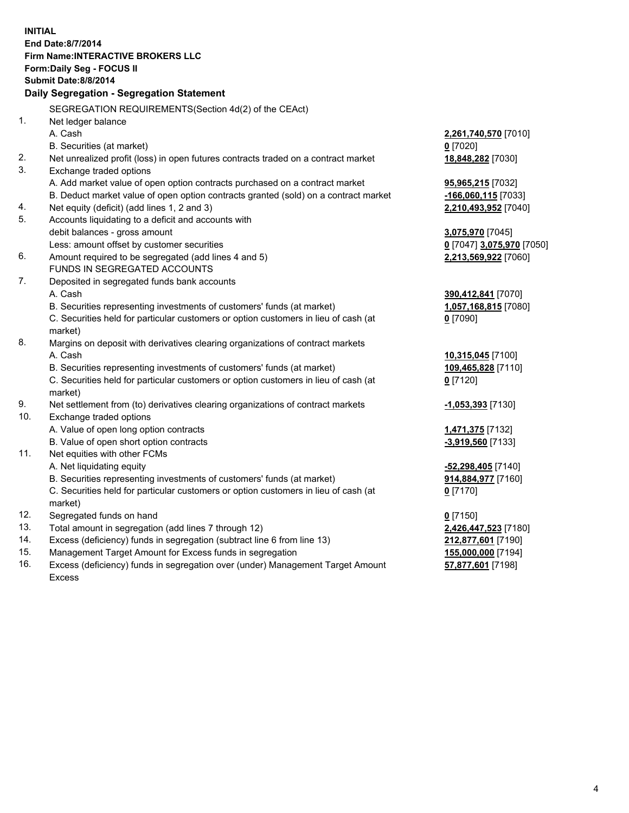**INITIAL End Date:8/7/2014 Firm Name:INTERACTIVE BROKERS LLC Form:Daily Seg - FOCUS II Submit Date:8/8/2014 Daily Segregation - Segregation Statement** SEGREGATION REQUIREMENTS(Section 4d(2) of the CEAct) 1. Net ledger balance A. Cash **2,261,740,570** [7010] B. Securities (at market) **0** [7020] 2. Net unrealized profit (loss) in open futures contracts traded on a contract market **18,848,282** [7030] 3. Exchange traded options A. Add market value of open option contracts purchased on a contract market **95,965,215** [7032] B. Deduct market value of open option contracts granted (sold) on a contract market **-166,060,115** [7033] 4. Net equity (deficit) (add lines 1, 2 and 3) **2,210,493,952** [7040] 5. Accounts liquidating to a deficit and accounts with debit balances - gross amount **3,075,970** [7045] Less: amount offset by customer securities **0** [7047] **3,075,970** [7050] 6. Amount required to be segregated (add lines 4 and 5) **2,213,569,922** [7060] FUNDS IN SEGREGATED ACCOUNTS 7. Deposited in segregated funds bank accounts A. Cash **390,412,841** [7070] B. Securities representing investments of customers' funds (at market) **1,057,168,815** [7080] C. Securities held for particular customers or option customers in lieu of cash (at market) **0** [7090] 8. Margins on deposit with derivatives clearing organizations of contract markets A. Cash **10,315,045** [7100] B. Securities representing investments of customers' funds (at market) **109,465,828** [7110] C. Securities held for particular customers or option customers in lieu of cash (at market) **0** [7120] 9. Net settlement from (to) derivatives clearing organizations of contract markets **-1,053,393** [7130] 10. Exchange traded options A. Value of open long option contracts **1,471,375** [7132] B. Value of open short option contracts **-3,919,560** [7133] 11. Net equities with other FCMs A. Net liquidating equity **-52,298,405** [7140] B. Securities representing investments of customers' funds (at market) **914,884,977** [7160] C. Securities held for particular customers or option customers in lieu of cash (at market) **0** [7170] 12. Segregated funds on hand **0** [7150] 13. Total amount in segregation (add lines 7 through 12) **2,426,447,523** [7180] 14. Excess (deficiency) funds in segregation (subtract line 6 from line 13) **212,877,601** [7190] 15. Management Target Amount for Excess funds in segregation **155,000,000** [7194]

16. Excess (deficiency) funds in segregation over (under) Management Target Amount Excess

**57,877,601** [7198]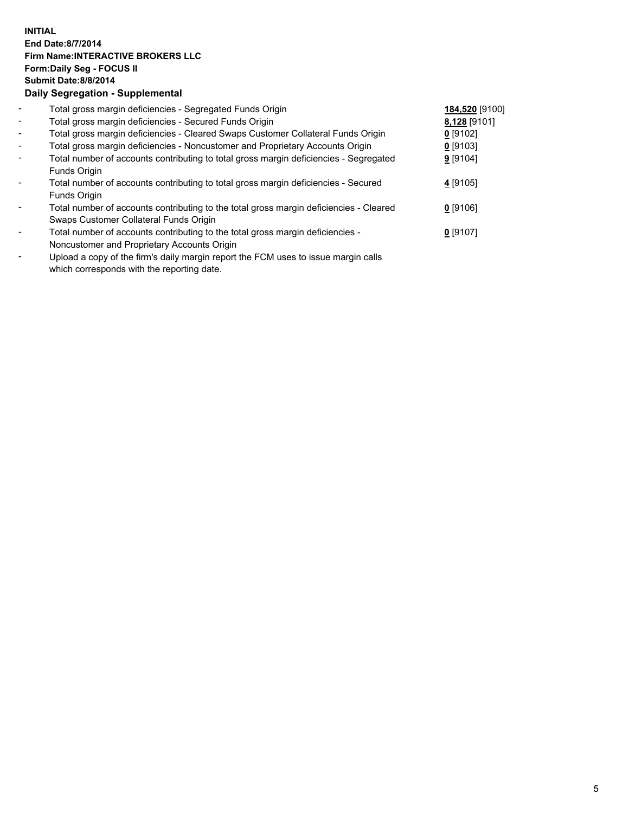## **INITIAL End Date:8/7/2014 Firm Name:INTERACTIVE BROKERS LLC Form:Daily Seg - FOCUS II Submit Date:8/8/2014 Daily Segregation - Supplemental**

| $\blacksquare$           | Total gross margin deficiencies - Segregated Funds Origin                                         | 184,520 [9100] |  |
|--------------------------|---------------------------------------------------------------------------------------------------|----------------|--|
| $\overline{\phantom{a}}$ | Total gross margin deficiencies - Secured Funds Origin                                            | 8,128 [9101]   |  |
| $\blacksquare$           | Total gross margin deficiencies - Cleared Swaps Customer Collateral Funds Origin                  | $0$ [9102]     |  |
| $\overline{\phantom{a}}$ | Total gross margin deficiencies - Noncustomer and Proprietary Accounts Origin                     | 0 [9103]       |  |
| $\blacksquare$           | Total number of accounts contributing to total gross margin deficiencies - Segregated             | $9$ [9104]     |  |
|                          | Funds Origin                                                                                      |                |  |
|                          | Total number of accounts contributing to total gross margin deficiencies - Secured                | 4 [9105]       |  |
|                          | Funds Origin                                                                                      |                |  |
| $\blacksquare$           | Total number of accounts contributing to the total gross margin deficiencies - Cleared            | $0$ [9106]     |  |
|                          | Swaps Customer Collateral Funds Origin                                                            |                |  |
| $\overline{\phantom{a}}$ | Total number of accounts contributing to the total gross margin deficiencies -                    | $0$ [9107]     |  |
|                          | Noncustomer and Proprietary Accounts Origin                                                       |                |  |
|                          | that a discussion of the functor deficiences in a second the FONA case to be compared with a dis- |                |  |

- Upload a copy of the firm's daily margin report the FCM uses to issue margin calls which corresponds with the reporting date.